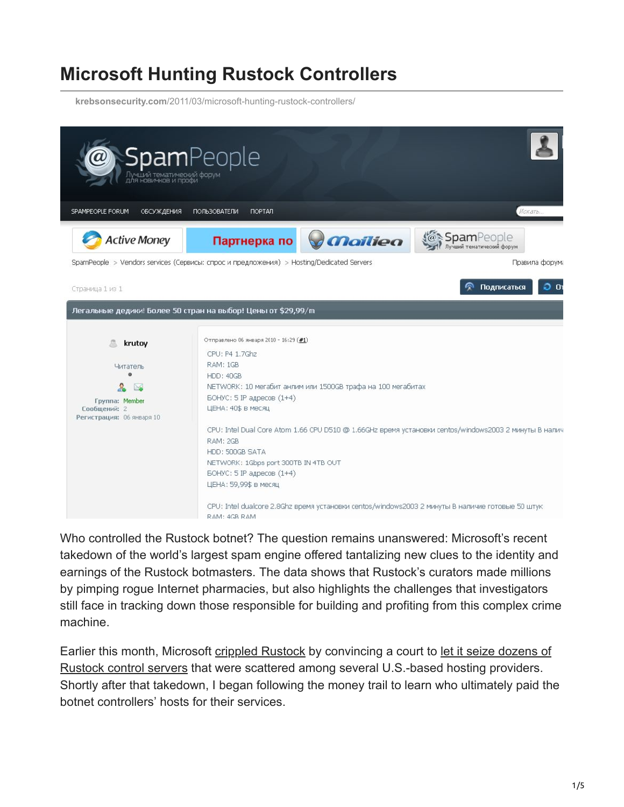## **Microsoft Hunting Rustock Controllers**

**krebsonsecurity.com**[/2011/03/microsoft-hunting-rustock-controllers/](https://krebsonsecurity.com/2011/03/microsoft-hunting-rustock-controllers/)



Who controlled the Rustock botnet? The question remains unanswered: Microsoft's recent takedown of the world's largest spam engine offered tantalizing new clues to the identity and earnings of the Rustock botmasters. The data shows that Rustock's curators made millions by pimping rogue Internet pharmacies, but also highlights the challenges that investigators still face in tracking down those responsible for building and profiting from this complex crime machine.

[Earlier this month, Microsoft](http://krebsonsecurity.com/2011/03/homegrown-rustock-botnet-fed-by-u-s-firms/) [crippled Rustock](http://krebsonsecurity.com/2011/03/rustock-botnet-flatlined-spam-volumes-plummet/) [by convincing a court to let it seize dozens of](http://krebsonsecurity.com/2011/03/homegrown-rustock-botnet-fed-by-u-s-firms/) Rustock control servers that were scattered among several U.S.-based hosting providers. Shortly after that takedown, I began following the money trail to learn who ultimately paid the botnet controllers' hosts for their services.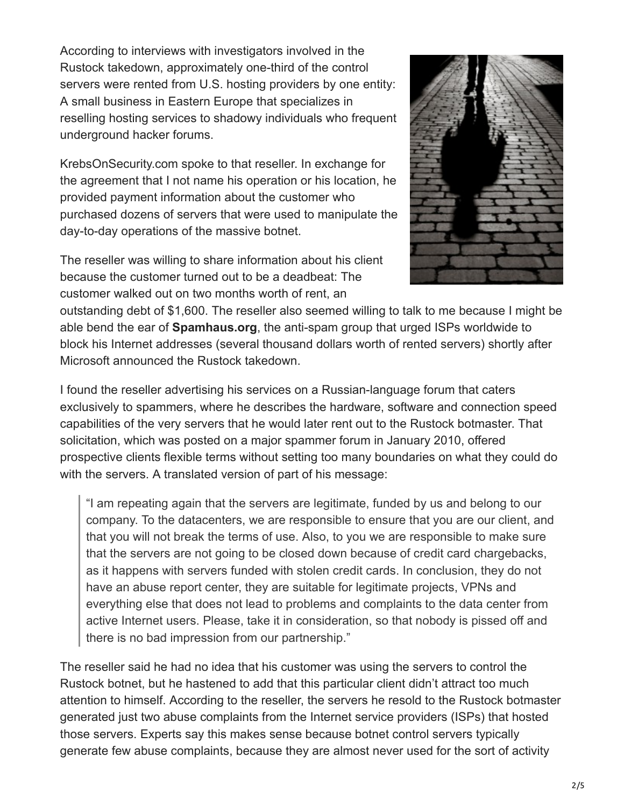According to interviews with investigators involved in the Rustock takedown, approximately one-third of the control servers were rented from U.S. hosting providers by one entity: A small business in Eastern Europe that specializes in reselling hosting services to shadowy individuals who frequent underground hacker forums.

KrebsOnSecurity.com spoke to that reseller. In exchange for the agreement that I not name his operation or his location, he provided payment information about the customer who purchased dozens of servers that were used to manipulate the day-to-day operations of the massive botnet.



The reseller was willing to share information about his client because the customer turned out to be a deadbeat: The customer walked out on two months worth of rent, an

outstanding debt of \$1,600. The reseller also seemed willing to talk to me because I might be able bend the ear of **Spamhaus.org**, the anti-spam group that urged ISPs worldwide to block his Internet addresses (several thousand dollars worth of rented servers) shortly after Microsoft announced the Rustock takedown.

I found the reseller advertising his services on a Russian-language forum that caters exclusively to spammers, where he describes the hardware, software and connection speed capabilities of the very servers that he would later rent out to the Rustock botmaster. That solicitation, which was posted on a major spammer forum in January 2010, offered prospective clients flexible terms without setting too many boundaries on what they could do with the servers. A translated version of part of his message:

"I am repeating again that the servers are legitimate, funded by us and belong to our company. To the datacenters, we are responsible to ensure that you are our client, and that you will not break the terms of use. Also, to you we are responsible to make sure that the servers are not going to be closed down because of credit card chargebacks, as it happens with servers funded with stolen credit cards. In conclusion, they do not have an abuse report center, they are suitable for legitimate projects, VPNs and everything else that does not lead to problems and complaints to the data center from active Internet users. Please, take it in consideration, so that nobody is pissed off and there is no bad impression from our partnership."

The reseller said he had no idea that his customer was using the servers to control the Rustock botnet, but he hastened to add that this particular client didn't attract too much attention to himself. According to the reseller, the servers he resold to the Rustock botmaster generated just two abuse complaints from the Internet service providers (ISPs) that hosted those servers. Experts say this makes sense because botnet control servers typically generate few abuse complaints, because they are almost never used for the sort of activity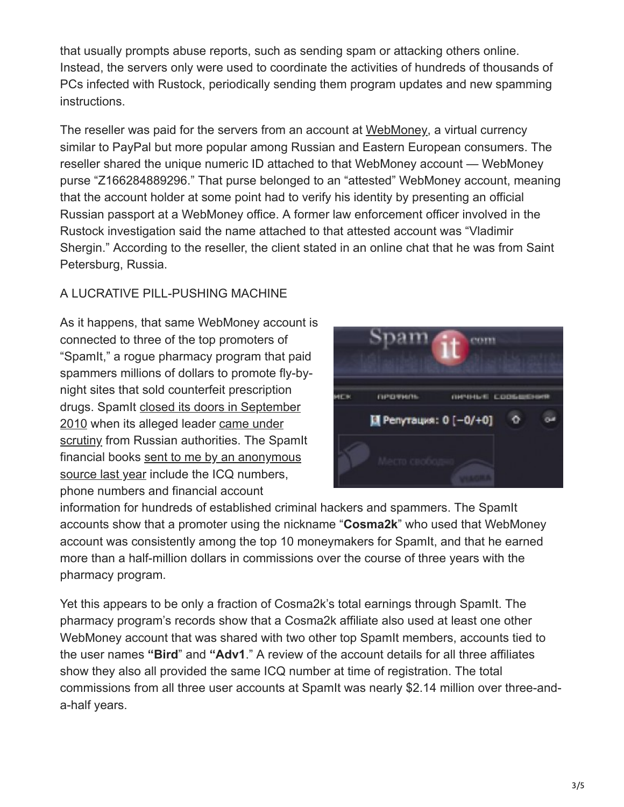that usually prompts abuse reports, such as sending spam or attacking others online. Instead, the servers only were used to coordinate the activities of hundreds of thousands of PCs infected with Rustock, periodically sending them program updates and new spamming instructions.

The reseller was paid for the servers from an account at [WebMoney](https://secure.wikimedia.org/wikipedia/en/wiki/WebMoney), a virtual currency similar to PayPal but more popular among Russian and Eastern European consumers. The reseller shared the unique numeric ID attached to that WebMoney account — WebMoney purse "Z166284889296." That purse belonged to an "attested" WebMoney account, meaning that the account holder at some point had to verify his identity by presenting an official Russian passport at a WebMoney office. A former law enforcement officer involved in the Rustock investigation said the name attached to that attested account was "Vladimir Shergin." According to the reseller, the client stated in an online chat that he was from Saint Petersburg, Russia.

## A LUCRATIVE PILL-PUSHING MACHINE

As it happens, that same WebMoney account is connected to three of the top promoters of "SpamIt," a rogue pharmacy program that paid spammers millions of dollars to promote fly-bynight sites that sold counterfeit prescription [drugs. SpamIt closed its doors in September](http://krebsonsecurity.com/2010/09/spam-affialite-program-spamit-com-to-close/) [2010 when its alleged leader came under](https://www.nytimes.com/2010/10/27/business/27spam.html) scrutiny from Russian authorities. The SpamIt [financial books sent to me by an anonymous](http://krebsonsecurity.com/2011/02/spamit-glavmed-pharmacy-networks-exposed/) source last year include the ICQ numbers, phone numbers and financial account



information for hundreds of established criminal hackers and spammers. The SpamIt accounts show that a promoter using the nickname "**Cosma2k**" who used that WebMoney account was consistently among the top 10 moneymakers for SpamIt, and that he earned more than a half-million dollars in commissions over the course of three years with the pharmacy program.

Yet this appears to be only a fraction of Cosma2k's total earnings through SpamIt. The pharmacy program's records show that a Cosma2k affiliate also used at least one other WebMoney account that was shared with two other top SpamIt members, accounts tied to the user names **"Bird**" and **"Adv1**." A review of the account details for all three affiliates show they also all provided the same ICQ number at time of registration. The total commissions from all three user accounts at SpamIt was nearly \$2.14 million over three-anda-half years.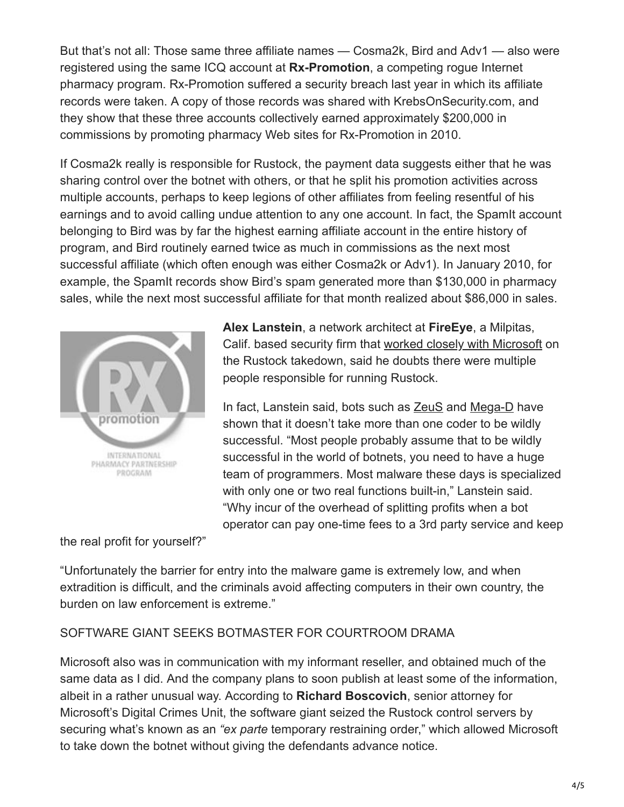But that's not all: Those same three affiliate names — Cosma2k, Bird and Adv1 — also were registered using the same ICQ account at **Rx-Promotion**, a competing rogue Internet pharmacy program. Rx-Promotion suffered a security breach last year in which its affiliate records were taken. A copy of those records was shared with KrebsOnSecurity.com, and they show that these three accounts collectively earned approximately \$200,000 in commissions by promoting pharmacy Web sites for Rx-Promotion in 2010.

If Cosma2k really is responsible for Rustock, the payment data suggests either that he was sharing control over the botnet with others, or that he split his promotion activities across multiple accounts, perhaps to keep legions of other affiliates from feeling resentful of his earnings and to avoid calling undue attention to any one account. In fact, the SpamIt account belonging to Bird was by far the highest earning affiliate account in the entire history of program, and Bird routinely earned twice as much in commissions as the next most successful affiliate (which often enough was either Cosma2k or Adv1). In January 2010, for example, the SpamIt records show Bird's spam generated more than \$130,000 in pharmacy sales, while the next most successful affiliate for that month realized about \$86,000 in sales.



**Alex Lanstein**, a network architect at **FireEye**, a Milpitas, Calif. based security firm that [worked closely with Microsoft](http://blog.fireeye.com/research/2011/03/an-overview-of-rustock.html) on the Rustock takedown, said he doubts there were multiple people responsible for running Rustock.

In fact, Lanstein said, bots such as [ZeuS](http://krebsonsecurity.com/tag/zeus/) and [Mega-D](http://krebsonsecurity.com/2010/12/fbi-identifies-russian-mega-d-spam-kingpin/) have shown that it doesn't take more than one coder to be wildly successful. "Most people probably assume that to be wildly successful in the world of botnets, you need to have a huge team of programmers. Most malware these days is specialized with only one or two real functions built-in," Lanstein said. "Why incur of the overhead of splitting profits when a bot operator can pay one-time fees to a 3rd party service and keep

the real profit for yourself?"

"Unfortunately the barrier for entry into the malware game is extremely low, and when extradition is difficult, and the criminals avoid affecting computers in their own country, the burden on law enforcement is extreme."

## SOFTWARE GIANT SEEKS BOTMASTER FOR COURTROOM DRAMA

Microsoft also was in communication with my informant reseller, and obtained much of the same data as I did. And the company plans to soon publish at least some of the information, albeit in a rather unusual way. According to **Richard Boscovich**, senior attorney for Microsoft's Digital Crimes Unit, the software giant seized the Rustock control servers by securing what's known as an *"ex parte* temporary restraining order," which allowed Microsoft to take down the botnet without giving the defendants advance notice.